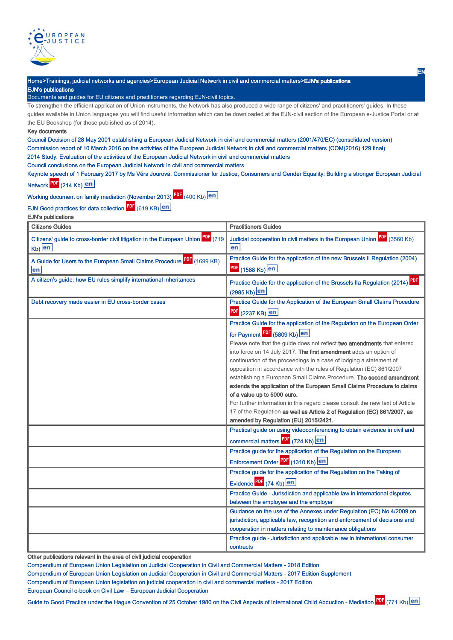

Home>Trainings, judicial networks and agencies>European Judicial Network in civil and commercial matters>EJN's publications EJN's publications Documents and guides for EU citizens and practitioners regarding EJN-civil topics.

To strengthen the efficient application of Union instruments, the Network has also produced a wide range of citizens' and practitioners' guides. In these guides available in Union languages you will find useful information which can be downloaded at the EJN-civil section of the European e-Justice Portal or at the EU Bookshop (for those published as of 2014).

## Key documents

Council Decision of 28 May 2001 establishing a European Judicial Network in civil and commercial matters (2001/470/EC) (consolidated version) Commission report of 10 March 2016 on the activities of the European Judicial Network in civil and commercial matters (COM(2016) 129 final) 2014 Study: Evaluation of the activities of the European Judicial Network in civil and commercial matters

Council conclusions on the European Judicial Network in civil and commercial matters

Keynote speech of 1 February 2017 by Ms Věra Jourová, Commissioner for Justice, Consumers and Gender Equality: Building a stronger European Judicial Network PDF (214 Kb) en

Working document on family mediation (November 2013) **[20]** (400 Kb)

EJN Good practices for data collection **Fig.** (619 KB)

EJN's publications

| <b>Citizens Guides</b>                                                                      | <b>Practitioners Guides</b>                                                                                                                                                                                                                                                                                                                                                                                                                                                                                                                                                                                                                                                                                                                                                                                                                                                                                            |
|---------------------------------------------------------------------------------------------|------------------------------------------------------------------------------------------------------------------------------------------------------------------------------------------------------------------------------------------------------------------------------------------------------------------------------------------------------------------------------------------------------------------------------------------------------------------------------------------------------------------------------------------------------------------------------------------------------------------------------------------------------------------------------------------------------------------------------------------------------------------------------------------------------------------------------------------------------------------------------------------------------------------------|
| Citizens' guide to cross-border civil litigation in the European Union PDF (719<br>$Kb)$ en | Judicial cooperation in civil matters in the European Union PDF (3560 Kb)<br>en                                                                                                                                                                                                                                                                                                                                                                                                                                                                                                                                                                                                                                                                                                                                                                                                                                        |
| A Guide for Users to the European Small Claims Procedure PDF (1699 KB)<br>en                | Practice Guide for the application of the new Brussels II Regulation (2004)<br>PDF (1588 Kb) en                                                                                                                                                                                                                                                                                                                                                                                                                                                                                                                                                                                                                                                                                                                                                                                                                        |
| A citizen's guide: how EU rules simplify international inheritances                         | Practice Guide for the application of the Brussels IIa Regulation (2014) PDF<br>(2985 Kb) en                                                                                                                                                                                                                                                                                                                                                                                                                                                                                                                                                                                                                                                                                                                                                                                                                           |
| Debt recovery made easier in EU cross-border cases                                          | Practice Guide for the Application of the European Small Claims Procedure<br>$\frac{PDF}{P}$ (2237 KB) $\boxed{en}$                                                                                                                                                                                                                                                                                                                                                                                                                                                                                                                                                                                                                                                                                                                                                                                                    |
|                                                                                             | Practice Guide for the application of the Regulation on the European Order<br>for Payment PDF (5809 Kb) en<br>Please note that the guide does not reflect two amendments that entered<br>into force on 14 July 2017. The first amendment adds an option of<br>continuation of the proceedings in a case of lodging a statement of<br>opposition in accordance with the rules of Regulation (EC) 861/2007<br>establishing a European Small Claims Procedure. The second amendment<br>extends the application of the European Small Claims Procedure to claims<br>of a value up to 5000 euro.<br>For further information in this regard please consult the new text of Article<br>17 of the Regulation as well as Article 2 of Regulation (EC) 861/2007, as<br>amended by Regulation (EU) 2015/2421.<br>Practical guide on using videoconferencing to obtain evidence in civil and<br>commercial matters PDF (724 Kb) en |
|                                                                                             | Practice guide for the application of the Regulation on the European<br>Enforcement Order <sup>PDF</sup> (1310 Kb) en<br>Practice guide for the application of the Regulation on the Taking of                                                                                                                                                                                                                                                                                                                                                                                                                                                                                                                                                                                                                                                                                                                         |
|                                                                                             | Evidence PDF (74 Kb) en<br>Practice Guide - Jurisdiction and applicable law in international disputes<br>between the employee and the employer                                                                                                                                                                                                                                                                                                                                                                                                                                                                                                                                                                                                                                                                                                                                                                         |
|                                                                                             | Guidance on the use of the Annexes under Regulation (EC) No 4/2009 on<br>jurisdiction, applicable law, recognition and enforcement of decisions and<br>cooperation in matters relating to maintenance obligations                                                                                                                                                                                                                                                                                                                                                                                                                                                                                                                                                                                                                                                                                                      |
|                                                                                             | Practice guide - Jurisdiction and applicable law in international consumer<br>contracts                                                                                                                                                                                                                                                                                                                                                                                                                                                                                                                                                                                                                                                                                                                                                                                                                                |

Other publications relevant in the area of civil judicial cooperation

Compendium of European Union Legislation on Judicial Cooperation in Civil and Commercial Matters - 2018 Edition Compendium of European Union Legislation on Judicial Cooperation in Civil and Commercial Matters - 2017 Edition Supplement Compendium of European Union legislation on judicial cooperation in civil and commercial matters - 2017 Edition European Council e-book on Civil Law – European Judicial Cooperation

Guide to Good Practice under the Hague Convention of 25 October 1980 on the Civil Aspects of International Child Abduction - Mediation F<sup>ur</sup>l (771 Kb)

EN